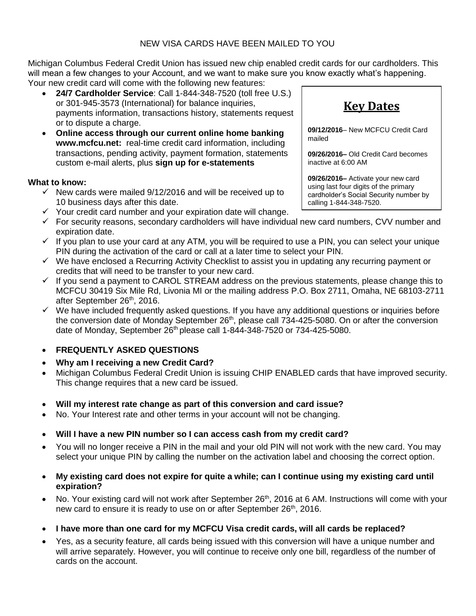Michigan Columbus Federal Credit Union has issued new chip enabled credit cards for our cardholders. This will mean a few changes to your Account, and we want to make sure you know exactly what's happening. Your new credit card will come with the following new features:

- **24/7 Cardholder Service**: Call 1-844-348-7520 (toll free U.S.) or 301-945-3573 (International) for balance inquiries, payments information, transactions history, statements request or to dispute a charge.
- **Online access through our current online home banking www.mcfcu.net:** real-time credit card information, including transactions, pending activity, payment formation, statements custom e-mail alerts, plus **sign up for e-statements**

## **What to know:**

- $\checkmark$  New cards were mailed 9/12/2016 and will be received up to 10 business days after this date.
- $\checkmark$  Your credit card number and your expiration date will change.
- $\checkmark$  For security reasons, secondary cardholders will have individual new card numbers, CVV number and expiration date.
- $\checkmark$  If you plan to use your card at any ATM, you will be required to use a PIN, you can select your unique PIN during the activation of the card or call at a later time to select your PIN.
- $\checkmark$  We have enclosed a Recurring Activity Checklist to assist you in updating any recurring payment or credits that will need to be transfer to your new card.
- $\checkmark$  If you send a payment to CAROL STREAM address on the previous statements, please change this to MCFCU 30419 Six Mile Rd, Livonia MI or the mailing address P.O. Box 2711, Omaha, NE 68103-2711 after September 26th, 2016.
- $\checkmark$  We have included frequently asked questions. If you have any additional questions or inquiries before the conversion date of Monday September 26<sup>th</sup>, please call 734-425-5080. On or after the conversion date of Monday, September 26<sup>th</sup> please call 1-844-348-7520 or 734-425-5080.

## **FREQUENTLY ASKED QUESTIONS**

- **Why am I receiving a new Credit Card?**
- Michigan Columbus Federal Credit Union is issuing CHIP ENABLED cards that have improved security. This change requires that a new card be issued.
- **Will my interest rate change as part of this conversion and card issue?**
- No. Your Interest rate and other terms in your account will not be changing.
- **Will I have a new PIN number so I can access cash from my credit card?**
- You will no longer receive a PIN in the mail and your old PIN will not work with the new card. You may select your unique PIN by calling the number on the activation label and choosing the correct option.
- **My existing card does not expire for quite a while; can I continue using my existing card until expiration?**
- No. Your existing card will not work after September 26<sup>th</sup>, 2016 at 6 AM. Instructions will come with your new card to ensure it is ready to use on or after September 26<sup>th</sup>, 2016.
- **I have more than one card for my MCFCU Visa credit cards, will all cards be replaced?**
- Yes, as a security feature, all cards being issued with this conversion will have a unique number and will arrive separately. However, you will continue to receive only one bill, regardless of the number of cards on the account.

**Key Dates**

**09/12/2016**– New MCFCU Credit Card mailed

**09/26/2016–** Old Credit Card becomes inactive at 6:00 AM

**09/26/2016–** Activate your new card using last four digits of the primary cardholder's Social Security number by calling 1-844-348-7520.